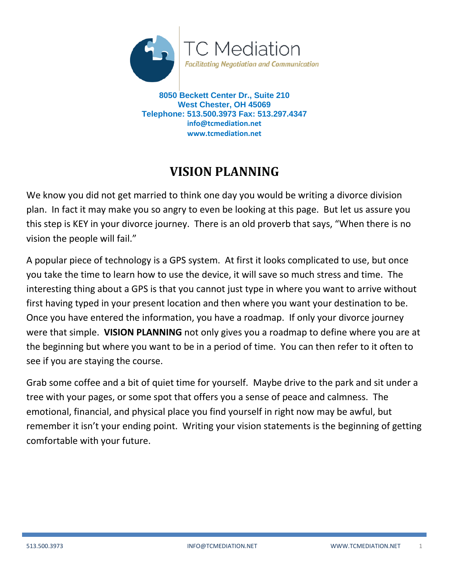

**8050 Beckett Center Dr., Suite 210 West Chester, OH 45069 Telephone: 513.500.3973 Fax: 513.297.4347 info@tcmediation.net www.tcmediation.net**

# **VISION PLANNING**

We know you did not get married to think one day you would be writing a divorce division plan. In fact it may make you so angry to even be looking at this page. But let us assure you this step is KEY in your divorce journey. There is an old proverb that says, "When there is no vision the people will fail."

A popular piece of technology is a GPS system. At first it looks complicated to use, but once you take the time to learn how to use the device, it will save so much stress and time. The interesting thing about a GPS is that you cannot just type in where you want to arrive without first having typed in your present location and then where you want your destination to be. Once you have entered the information, you have a roadmap. If only your divorce journey were that simple. **VISION PLANNING** not only gives you a roadmap to define where you are at the beginning but where you want to be in a period of time. You can then refer to it often to see if you are staying the course.

Grab some coffee and a bit of quiet time for yourself. Maybe drive to the park and sit under a tree with your pages, or some spot that offers you a sense of peace and calmness. The emotional, financial, and physical place you find yourself in right now may be awful, but remember it isn't your ending point. Writing your vision statements is the beginning of getting comfortable with your future.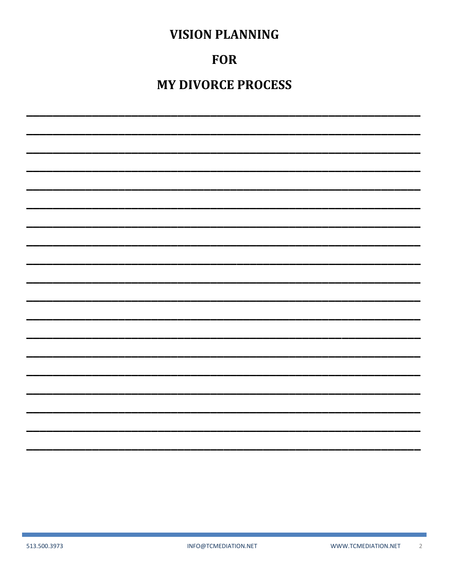# **FOR**

**MY DIVORCE PROCESS**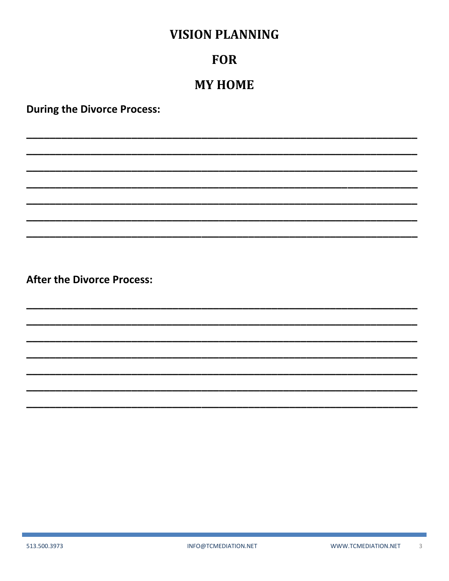### **FOR**

## **MY HOME**

**During the Divorce Process:**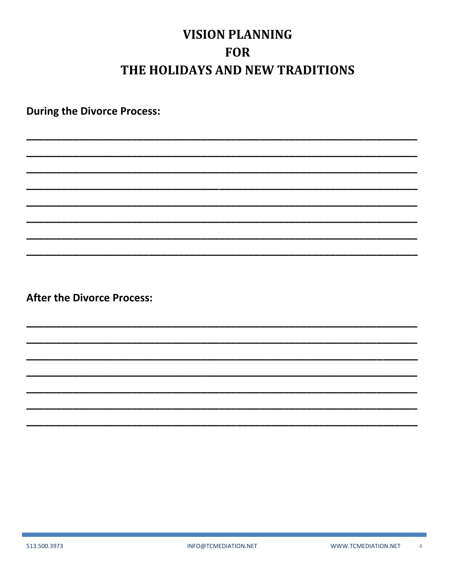# **VISION PLANNING FOR** THE HOLIDAYS AND NEW TRADITIONS

**During the Divorce Process:**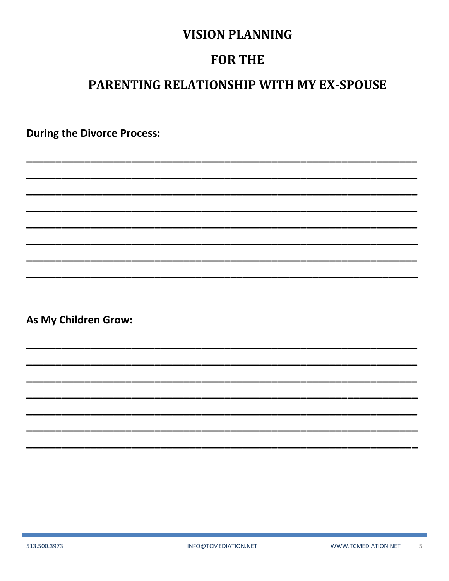## **FOR THE**

# PARENTING RELATIONSHIP WITH MY EX-SPOUSE

**During the Divorce Process:** 

As My Children Grow: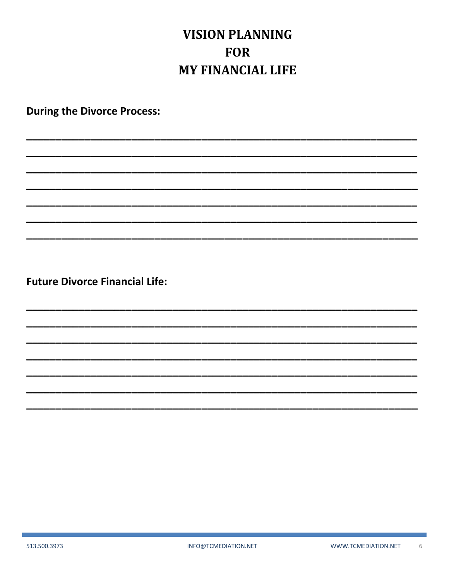# **VISION PLANNING FOR MY FINANCIAL LIFE**

**During the Divorce Process:** 

**Future Divorce Financial Life:**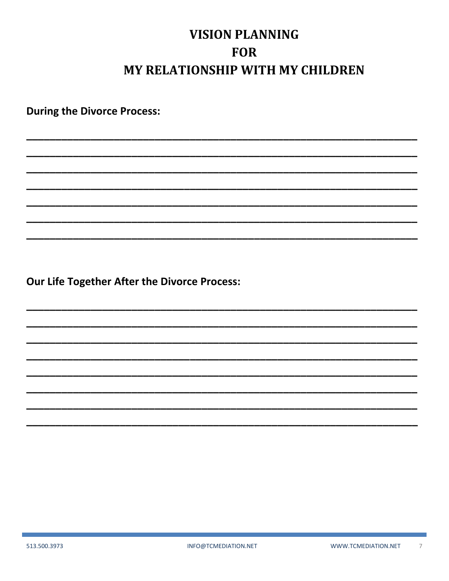# **VISION PLANNING FOR MY RELATIONSHIP WITH MY CHILDREN**

**During the Divorce Process:** 

Our Life Together After the Divorce Process: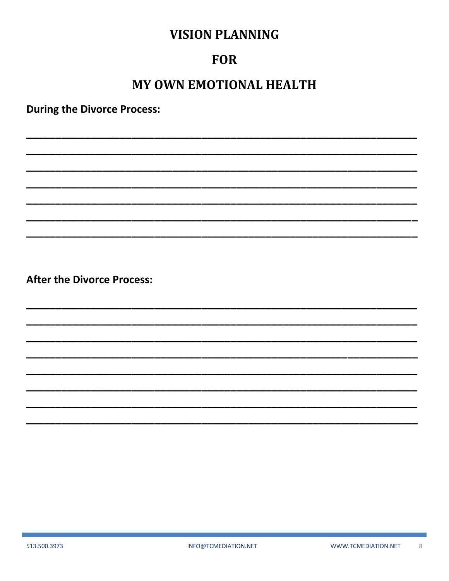#### **FOR**

# MY OWN EMOTIONAL HEALTH

**During the Divorce Process:**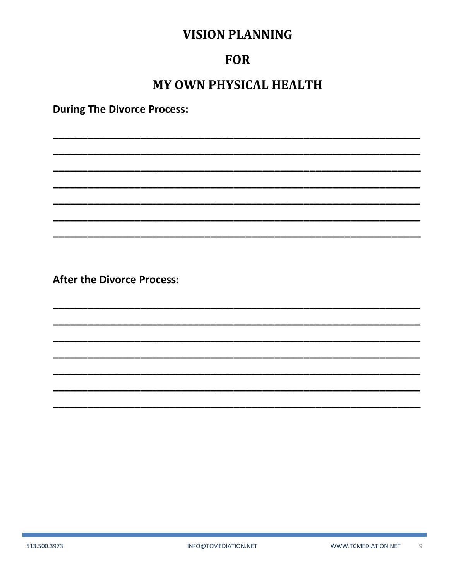#### **FOR**

# **MY OWN PHYSICAL HEALTH**

**During The Divorce Process:**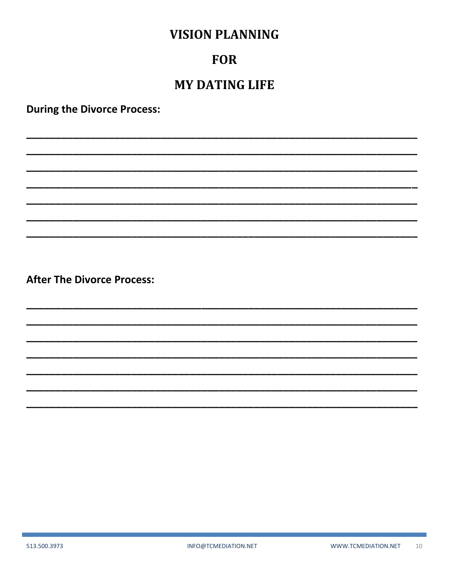#### **FOR**

## **MY DATING LIFE**

**During the Divorce Process:**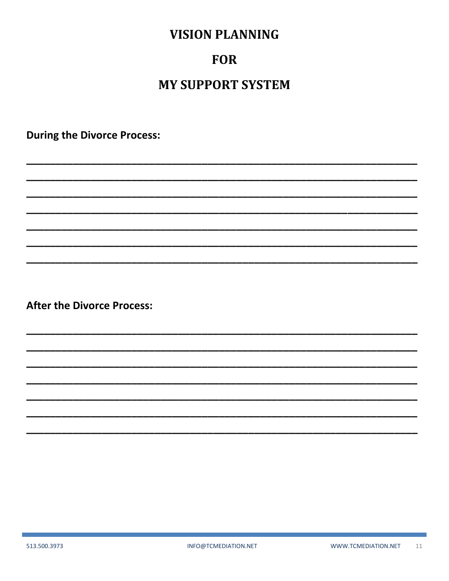#### **FOR**

# **MY SUPPORT SYSTEM**

**During the Divorce Process:** 

**After the Divorce Process:** 

513.500.3973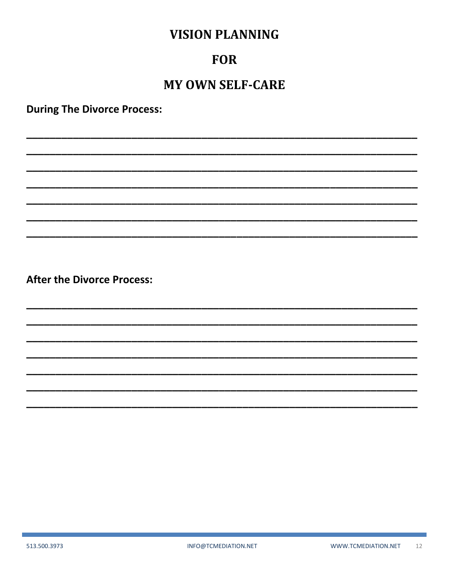#### **FOR**

## **MY OWN SELF-CARE**

**During The Divorce Process:**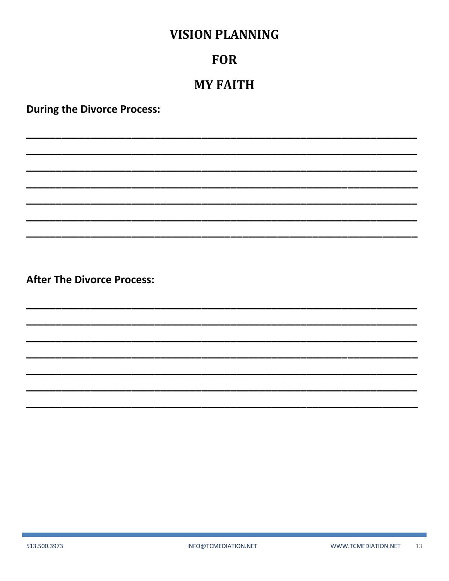#### **FOR**

#### **MY FAITH**

**During the Divorce Process:**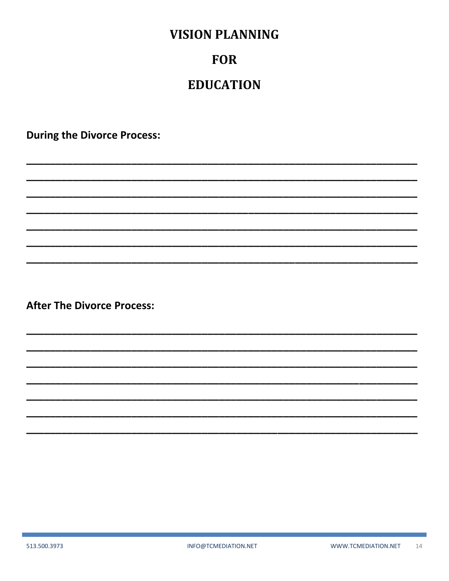## **FOR**

## **EDUCATION**

**During the Divorce Process:**